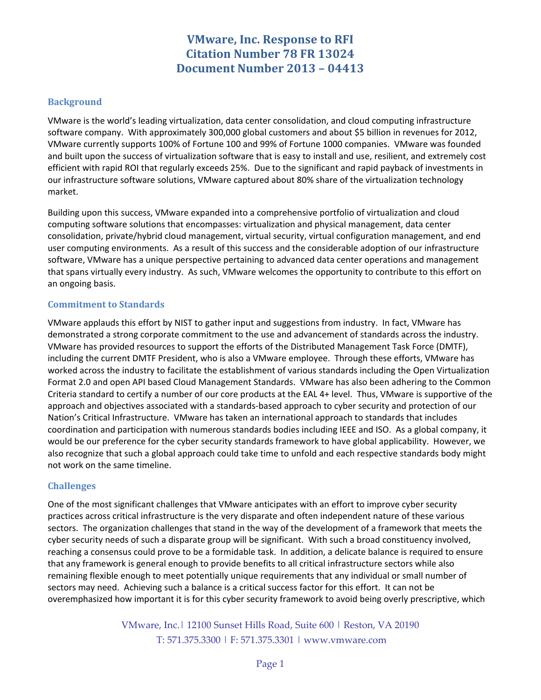# **VMware, Inc. Response to RFI Citation Number 78 FR 13024 Document Number 2013 – 04413**

### **Background**

VMware is the world's leading virtualization, data center consolidation, and cloud computing infrastructure software company. With approximately 300,000 global customers and about \$5 billion in revenues for 2012, VMware currently supports 100% of Fortune 100 and 99% of Fortune 1000 companies. VMware was founded and built upon the success of virtualization software that is easy to install and use, resilient, and extremely cost efficient with rapid ROI that regularly exceeds 25%. Due to the significant and rapid payback of investments in our infrastructure software solutions, VMware captured about 80% share of the virtualization technology market.

Building upon this success, VMware expanded into a comprehensive portfolio of virtualization and cloud computing software solutions that encompasses: virtualization and physical management, data center consolidation, private/hybrid cloud management, virtual security, virtual configuration management, and end user computing environments. As a result of this success and the considerable adoption of our infrastructure software, VMware has a unique perspective pertaining to advanced data center operations and management that spans virtually every industry. As such, VMware welcomes the opportunity to contribute to this effort on an ongoing basis.

#### **Commitment to Standards**

VMware applauds this effort by NIST to gather input and suggestions from industry. In fact, VMware has demonstrated a strong corporate commitment to the use and advancement of standards across the industry. VMware has provided resources to support the efforts of the Distributed Management Task Force (DMTF), including the current DMTF President, who is also a VMware employee. Through these efforts, VMware has worked across the industry to facilitate the establishment of various standards including the Open Virtualization Format 2.0 and open API based Cloud Management Standards. VMware has also been adhering to the Common Criteria standard to certify a number of our core products at the EAL 4+ level. Thus, VMware is supportive of the approach and objectives associated with a standards-based approach to cyber security and protection of our Nation's Critical Infrastructure. VMware has taken an international approach to standards that includes coordination and participation with numerous standards bodies including IEEE and ISO. As a global company, it would be our preference for the cyber security standards framework to have global applicability. However, we also recognize that such a global approach could take time to unfold and each respective standards body might not work on the same timeline.

### **Challenges**

One of the most significant challenges that VMware anticipates with an effort to improve cyber security practices across critical infrastructure is the very disparate and often independent nature of these various sectors. The organization challenges that stand in the way of the development of a framework that meets the cyber security needs of such a disparate group will be significant. With such a broad constituency involved, reaching a consensus could prove to be a formidable task. In addition, a delicate balance is required to ensure that any framework is general enough to provide benefits to all critical infrastructure sectors while also remaining flexible enough to meet potentially unique requirements that any individual or small number of sectors may need. Achieving such a balance is a critical success factor for this effort. It can not be overemphasized how important it is for this cyber security framework to avoid being overly prescriptive, which

> VMware, Inc.| 12100 Sunset Hills Road, Suite 600 | Reston, VA 20190 T: 571.375.3300 | F: 571.375.3301 | www.vmware.com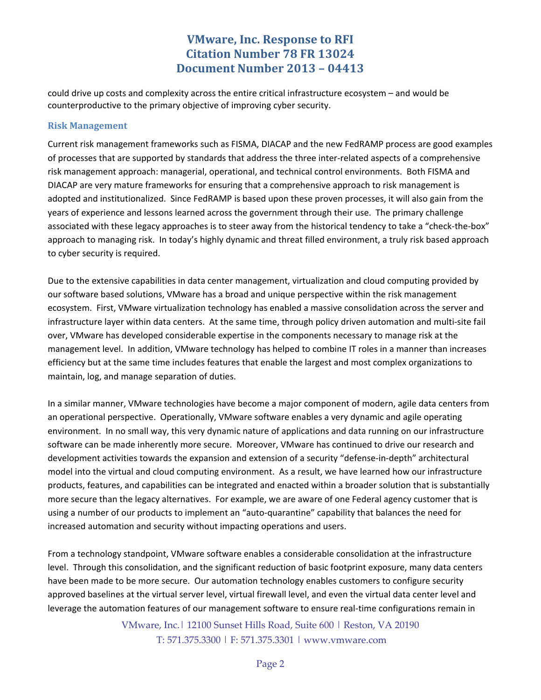# **VMware, Inc. Response to RFI Citation Number 78 FR 13024 Document Number 2013 – 04413**

could drive up costs and complexity across the entire critical infrastructure ecosystem – and would be counterproductive to the primary objective of improving cyber security.

#### **Risk Management**

Current risk management frameworks such as FISMA, DIACAP and the new FedRAMP process are good examples of processes that are supported by standards that address the three inter-related aspects of a comprehensive risk management approach: managerial, operational, and technical control environments. Both FISMA and DIACAP are very mature frameworks for ensuring that a comprehensive approach to risk management is adopted and institutionalized. Since FedRAMP is based upon these proven processes, it will also gain from the years of experience and lessons learned across the government through their use. The primary challenge associated with these legacy approaches is to steer away from the historical tendency to take a "check-the-box" approach to managing risk. In today's highly dynamic and threat filled environment, a truly risk based approach to cyber security is required.

Due to the extensive capabilities in data center management, virtualization and cloud computing provided by our software based solutions, VMware has a broad and unique perspective within the risk management ecosystem. First, VMware virtualization technology has enabled a massive consolidation across the server and infrastructure layer within data centers. At the same time, through policy driven automation and multi-site fail over, VMware has developed considerable expertise in the components necessary to manage risk at the management level. In addition, VMware technology has helped to combine IT roles in a manner than increases efficiency but at the same time includes features that enable the largest and most complex organizations to maintain, log, and manage separation of duties.

In a similar manner, VMware technologies have become a major component of modern, agile data centers from an operational perspective. Operationally, VMware software enables a very dynamic and agile operating environment. In no small way, this very dynamic nature of applications and data running on our infrastructure software can be made inherently more secure. Moreover, VMware has continued to drive our research and development activities towards the expansion and extension of a security "defense-in-depth" architectural model into the virtual and cloud computing environment. As a result, we have learned how our infrastructure products, features, and capabilities can be integrated and enacted within a broader solution that is substantially more secure than the legacy alternatives. For example, we are aware of one Federal agency customer that is using a number of our products to implement an "auto-quarantine" capability that balances the need for increased automation and security without impacting operations and users.

From a technology standpoint, VMware software enables a considerable consolidation at the infrastructure level. Through this consolidation, and the significant reduction of basic footprint exposure, many data centers have been made to be more secure. Our automation technology enables customers to configure security approved baselines at the virtual server level, virtual firewall level, and even the virtual data center level and leverage the automation features of our management software to ensure real-time configurations remain in

> VMware, Inc.| 12100 Sunset Hills Road, Suite 600 | Reston, VA 20190 T: 571.375.3300 | F: 571.375.3301 | www.vmware.com